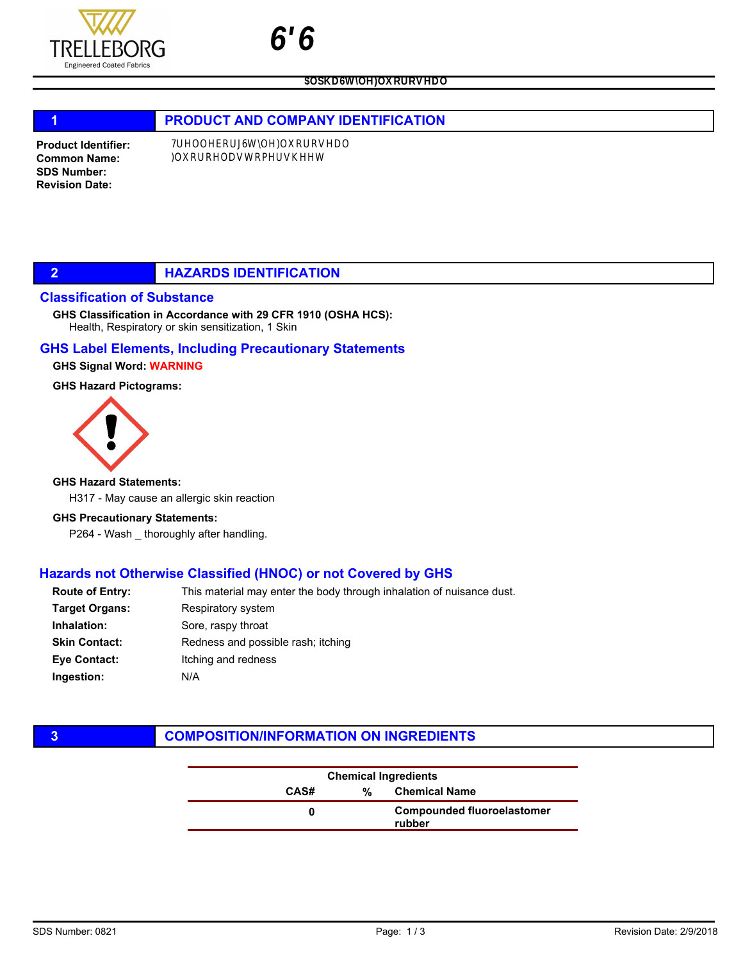

 $\overline{z}$ 

# 1 **PRODUCT AND COMPANY IDENTIFICATION**

Product Identifier: Common Name: SDS Number: Revision Date:

# **2 HAZARDS IDENTIFICATION**

### Classification of Substance

Health, Respiratory or skin sensitization, 1 Skin GHS Classification in Accordance with 29 CFR 1910 (OSHA HCS):

## GHS Label Elements, Including Precautionary Statements

### GHS Signal Word: WARNING

#### GHS Hazard Pictograms:



#### GHS Hazard Statements:

H317 - May cause an allergic skin reaction

#### GHS Precautionary Statements:

P264 - Wash \_ thoroughly after handling.

## Hazards not Otherwise Classified (HNOC) or not Covered by GHS

| <b>Route of Entry:</b> | This material may enter the body through inhalation of nuisance dust. |
|------------------------|-----------------------------------------------------------------------|
| Target Organs:         | Respiratory system                                                    |
| Inhalation:            | Sore, raspy throat                                                    |
| Skin Contact:          | Redness and possible rash; itching                                    |
| Eve Contact:           | Itching and redness                                                   |
| Ingestion:             | N/A                                                                   |
|                        |                                                                       |

# **3** COMPOSITION/INFORMATION ON INGREDIENTS

| <b>Chemical Ingredients</b> |   |                                             |
|-----------------------------|---|---------------------------------------------|
| CAS#                        | ℀ | <b>Chemical Name</b>                        |
|                             |   | <b>Compounded fluoroelastomer</b><br>rubber |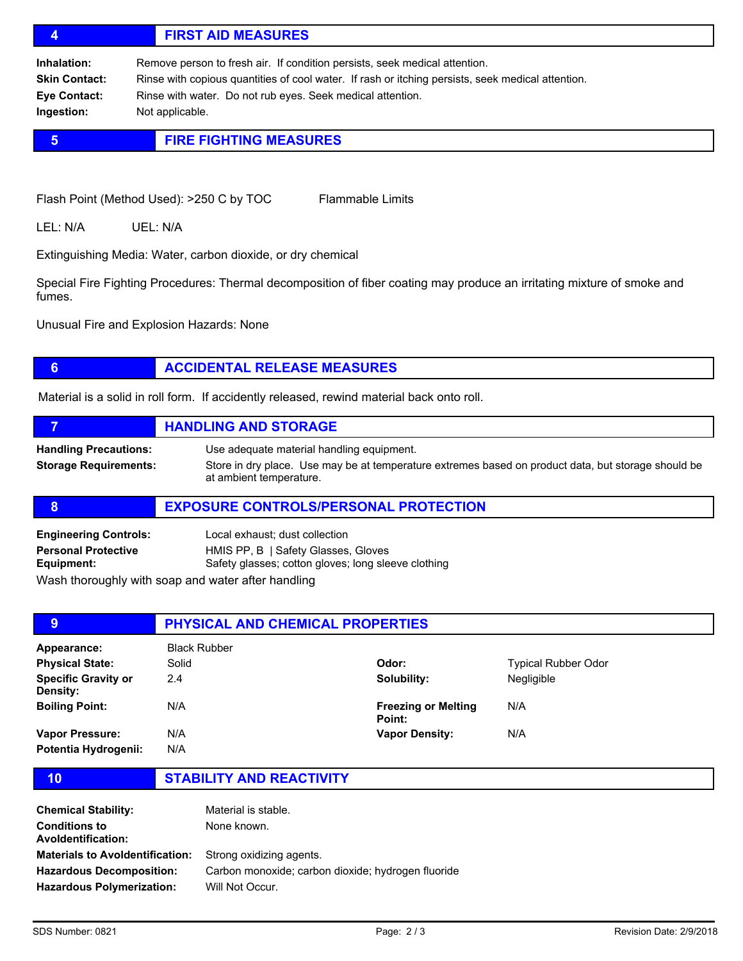# 4 FIRST AID MEASURES

Inhalation: Remove person to fresh air. If condition persists, seek medical attention. Skin Contact: Rinse with copious quantities of cool water. If rash or itching persists, seek medical attention. Eye Contact: Rinse with water. Do not rub eyes. Seek medical attention. Ingestion: Not applicable.

# **5 FIRE FIGHTING MEASURES**

Flash Point (Method Used): >250 C by TOC Flammable Limits

LEL: N/A UEL: N/A

Extinguishing Media: Water, carbon dioxide, or dry chemical

Special Fire Fighting Procedures: Thermal decomposition of fiber coating may produce an irritating mixture of smoke and fumes.

Unusual Fire and Explosion Hazards: None

# **6 ACCIDENTAL RELEASE MEASURES**

Material is a solid in roll form. If accidently released, rewind material back onto roll.

|                                                              | <b>HANDLING AND STORAGE</b>                                                                                                                                                 |
|--------------------------------------------------------------|-----------------------------------------------------------------------------------------------------------------------------------------------------------------------------|
| <b>Handling Precautions:</b><br><b>Storage Requirements:</b> | Use adequate material handling equipment.<br>Store in dry place. Use may be at temperature extremes based on product data, but storage should be<br>at ambient temperature. |

### 8 **EXPOSURE CONTROLS/PERSONAL PROTECTION**

| <b>Engineering Controls:</b>                                                                          | Local exhaust; dust collection                      |
|-------------------------------------------------------------------------------------------------------|-----------------------------------------------------|
| <b>Personal Protective</b>                                                                            | HMIS PP, B   Safety Glasses, Gloves                 |
| Equipment:                                                                                            | Safety glasses; cotton gloves; long sleeve clothing |
| 1874 - Alexander Alexander and March 1986. In the Common Alexander and March 1986. In the March 1986. |                                                     |

Wash thoroughly with soap and water after handling

| 9                                             | <b>PHYSICAL AND CHEMICAL PROPERTIES</b> |                                      |                            |  |
|-----------------------------------------------|-----------------------------------------|--------------------------------------|----------------------------|--|
| Appearance:                                   | <b>Black Rubber</b>                     |                                      |                            |  |
| <b>Physical State:</b>                        | Solid                                   | Odor:                                | <b>Typical Rubber Odor</b> |  |
| <b>Specific Gravity or</b><br><b>Density:</b> | 2.4                                     | Solubility:                          | Negligible                 |  |
| <b>Boiling Point:</b>                         | N/A                                     | <b>Freezing or Melting</b><br>Point: | N/A                        |  |
| Vapor Pressure:                               | N/A                                     | <b>Vapor Density:</b>                | N/A                        |  |
| Potentia Hydrogenii:                          | N/A                                     |                                      |                            |  |

10 STABILITY AND REACTIVITY

| <b>Chemical Stability:</b><br><b>Conditions to</b><br><b>Avoldentification:</b> | Material is stable.<br>None known.                 |
|---------------------------------------------------------------------------------|----------------------------------------------------|
| <b>Materials to Avoldentification:</b>                                          | Strong oxidizing agents.                           |
| <b>Hazardous Decomposition:</b>                                                 | Carbon monoxide; carbon dioxide; hydrogen fluoride |
| <b>Hazardous Polymerization:</b>                                                | Will Not Occur.                                    |